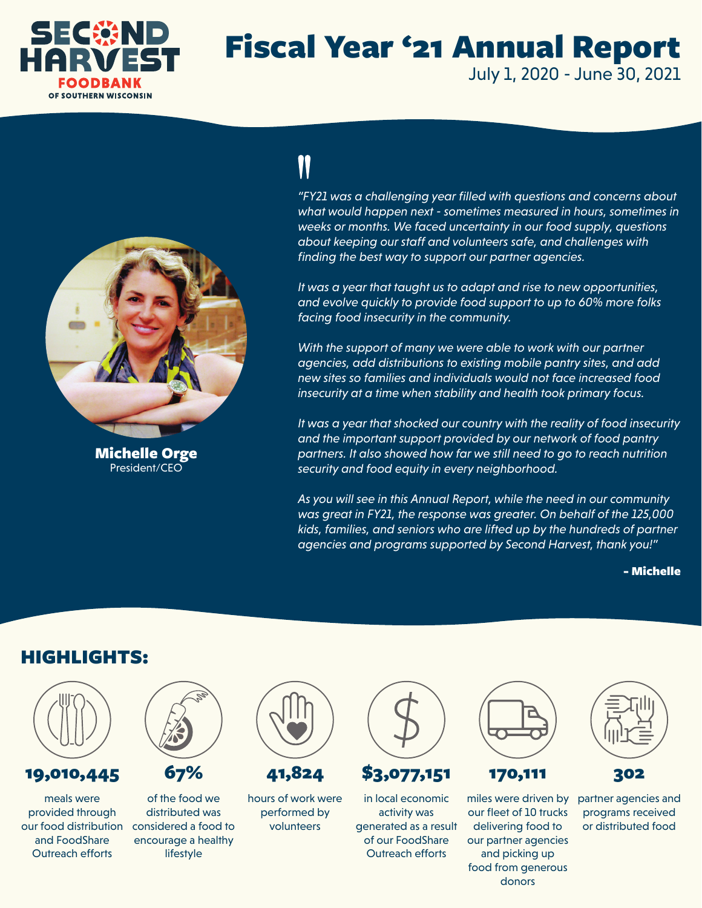

### Fiscal Year '21 Annual Report July 1, 2020 - June 30, 2021



Michelle Orge President/CEO

# 11

*"FY21 was a challenging year filled with questions and concerns about what would happen next - sometimes measured in hours, sometimes in weeks or months. We faced uncertainty in our food supply, questions about keeping our staff and volunteers safe, and challenges with finding the best way to support our partner agencies.*

*It was a year that taught us to adapt and rise to new opportunities, and evolve quickly to provide food support to up to 60% more folks facing food insecurity in the community.* 

*With the support of many we were able to work with our partner agencies, add distributions to existing mobile pantry sites, and add new sites so families and individuals would not face increased food insecurity at a time when stability and health took primary focus.* 

*It was a year that shocked our country with the reality of food insecurity and the important support provided by our network of food pantry partners. It also showed how far we still need to go to reach nutrition security and food equity in every neighborhood.* 

*As you will see in this Annual Report, while the need in our community was great in FY21, the response was greater. On behalf of the 125,000 kids, families, and seniors who are lifted up by the hundreds of partner agencies and programs supported by Second Harvest, thank you!"*

- Michelle